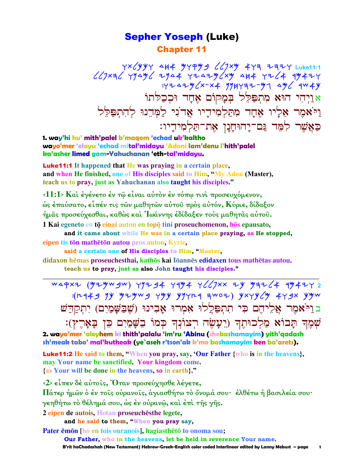### Sepher Yoseph (Luke) Chapter 11

 wtlkkw dja Mwqmb llptm awh yhyw **Luke11:1**   $\ell$ (J× $\ell$  YY4 $\ell$  +Y44 Y+4+Y $\ell$ × $\ell$  4H4 Y+ $\ell$ 4 4 $\ell$ ++Y  $:Y^2 \rightarrow Y^2 \rightarrow Z^2$  1947 - 1947 - 1948 א וַיִּהִי הוּא מִתְפַּלֵל בִּמַקוֹם אָחַד וּכִכַלֹּתוֹ י־אמֵר אֵלְיו אֵחָד מִתַּלְמִידַיו אֲד<sup>ֹנְי</sup> לַמְּדֵנוּ לְהִתִפַּלֵּל כַּאֲשֶׁר לִמֶּד נֵּם־יַהוּחַנַן אֶת־תַּלְמְידַיו:

**1. way'hi hu' mith'palel b'maqom 'echad uk'kaltho wayo'mer 'elayu 'echad mital'midayu 'Adoni lam'denu l'hith'palel ka'asher limed gam-Yahuchanan 'eth-tal'midayu.**

Luke11:1 **It happened that He was praying in a certain place, and when He finished, one of His disciples said to Him, "My Adon (Master), teach us to pray, just as Yahuchanan also taught his disciples."** 

**‹11:1› Καὶ ἐγένετο ἐν τῷ εἶναι αὐτὸν ἐν τόπῳ τινὶ προσευχόµενον, ὡς ἐπαύσατο, εἶπέν τις τῶν µαθητῶν αὐτοῦ πρὸς αὐτόν, Κύριε, δίδαξον ἡµᾶς προσεύχεσθαι, καθὼς καὶ Ἰωάννης ἐδίδαξεν τοὺς µαθητὰς αὐτοῦ. 1 Kai egeneto en tō einai auton en topō tini proseuchomenon, hōs epausato,** 

**and it came about while He was in a certain place praying, as He stopped, eipen tis tōn mathētōn autou** pros auton, Kyrie,

**said a certain one of His disciples to Him, "Master,**

**didaxon hēmas proseuchesthai, kathōs kai Iōannēs edidaxen tous mathētas autou.** 

**teach us to pray, just as also John taught his disciples." \_\_\_\_\_\_\_\_\_\_\_\_\_\_\_\_\_\_\_\_\_\_\_\_\_\_\_\_\_\_\_\_\_\_\_\_\_\_\_\_\_\_\_\_\_\_\_\_\_\_\_\_\_\_\_\_\_\_\_\_\_\_\_\_\_\_\_\_\_\_\_\_\_\_\_\_\_\_\_\_\_\_\_\_\_\_\_\_\_\_\_\_\_**

WAPXZ (YZYWJW) YYZJ4 Y4Y4 Y((JXX ZY YZZ(4 4Y4ZY 2  $:(r+4)$  yy yiywg yyyriq awoz) yxyy $\zeta$ y 4ygx yyw ב נייֹאמִר אַלִיהִם כִּי תִתְפַּלֵלוּ אָמְרוּ אָבִינוּ (שֵׁבַשָּׁמַיִם) יִתְקַדַּשׁ שִׁמֵה תַּבוֹא מַלְכוּתֵה (יֵעֲשֶׂה רִצוֹנְה כְּמוֹ בַשָּׁמַיִם כֵּן בָּאָרֶץ):

**2. wayo'mer 'aleyhem ki thith'palalu 'im'ru 'Abinu (shebashamayim) yith'qadash sh'meak tabo' mal'kutheak (ye`aseh r'tson'ak k'mo bashamayim ken ba'arets).**

Luke11:2 **He said to them, "When you pray, say, 'Our Father {who is in the heavens}, may Your name be sanctified. Your kingdom come. {as Your will be done in the heavens, so in earth}."**

**‹2› εἶπεν δὲ αὐτοῖς, Ὅταν προσεύχησθε λέγετε,** 

**Πάτερ ἡµῶν ὁ ἐν τοῖς οὐρανοῖς, ἁγιασθήτω τὸ ὄνοµά σου· ἐλθέτω ἡ βασιλεία σου· γεηθήτω τὸ θέληµά σου, ὡς ἐν οὐρανῷ, καὶ ἐπὶ τῆς γῆς.** 

 $2$  eipen de autois, Hotan proseuches the legete,

**and he said to them, "When you pray say,**

**Pater**  $\bar{e}$  **mon** [ho en tois ouranois], hagiasthero to onoma sou;

 **Our Father, who in the heavens, let be held in reverence Your name.** 

 **B'rit haChadashah (New Testament) Hebrew-Greek-English color coded Interlinear edited by Lanny Mebust – page 1**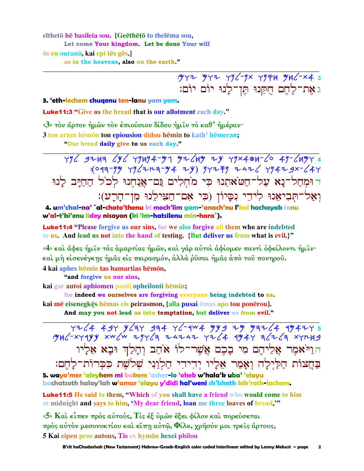elthetō hē basileia sou. [Geēthētō to thelēma sou, Let come Your kingdom. Let be done Your will os en ourano, kai epi tēs gēs.

as in the heavens, also on the earth."

 $.977$   $.977$   $.796 - 9x$   $.7994$   $.946 - x4$  3 ג אֶת־לֵחֱם חִקֵּנוּ תֵּן־לַנוּ יוֹם יוֹם:

#### 3. 'eth-lechem chugenu ten-lanu yom yom.

**Luke11:3** "Give us the bread that is our allotment each day."

<3> τον άρτον ήμων τον έπιούσιον δίδου ήμιν το καθ' ήμέραν·

3 ton arton hēmon ton epiousion didou hēmin to kath' hēmeran;

"Our bread daily give to us each day."

 $796$  g2Ha  $696$   $79494 - 97$   $97649$  2y  $79 \times 404 - 60$   $49 - 6497$  4 :(043-YY YY / 71-3-Y + ZY) YYZ FY ZAZ / YY + Z SX- / 4Y דוּמְחַל־נַא עַל־חַטֹּאתֵנוּ כִּי מֹחָלִים גַּם־אַנַחִנוּ לִכ<sup>ֹ</sup>ל הַחַיַּב לַנוּ וְאֲלֹ־תְּבִיאָנוּ לִיהֵי נִסֲיוֹן (כִּי אָם־הַצִּילֵנוּ מִן־הַרֵע):

4. um'chal-na' `al-chato'thenu ki moch'lim gam-'anach'nu l'kol hachayab lanu w'al-t'bi'enu lidey nisayon (ki 'im-hatsilenu min-hara`).

**Luke11:4** "Please forgive us our sins, for we also forgive all them who are indebted to us. And lead us not into the hand of testing. {But deliver us from what is evil.}"

<4> και άφες ήμιν τας αμαρτίας ήμων, και γαρ αύτοι αφίομεν παντι οφείλοντι ήμιν· καὶ μὴ εἰσενέγκης ἡμᾶς εἰς πειρασμόν, ἀλλὰ ῥῦσαι ἡμᾶς ἀπὸ τοῦ πονηροῦ. 4 kai aphes hēmin tas hamartias hēmōn,

"and forgive us our sins,

kai gar autoi aphiomen panti opheilonti hēmin;

for indeed we ourselves are forgiving everyone being indebted to us. kai mē eisenegkēs hēmas eis peirasmon, [alla pusai ēmas apo tou ponērou].

And may you not lead us into temptation, but deliver us from evil."

 $755$  7744 434 434 454 476-104 4 456 758 454 454 454 454<br>۳۶۲ 4 456 4 454 454 454 454 454 455 4554 4554 4555. הוַיֹּאמֶר אֲלִיהֶם מִי בָכֶם אֲשֶׁר־לוֹ אֹהֶב וְהַלַּךְ וּבָא אֶלַיו בַחֲצוֹת הַלַּיְלַה וְאָמַר אָלֵיו יִדִידִי הַלְוֵנִי שִׁלֹשֶׁת כִּכְרוֹת־לַחֵם:

5. wavo'mer 'aleyhem mi bakem 'asher-lo '<mark>oheb</mark> w'hala'k uba' 'elayu bachatsoth halay'lah w'amar 'elayu y'didi hal'weni sh'Isheth kik'roth-lachem.

**Luke11:5** He said to them, "Which of you shall have a friend who would come to him at midnight and says to him, 'My dear friend, loan me three loaves of bread,'"

 $\langle 5 \rangle$  Και είπεν προς αύτούς, Τις έξ ύμων έξει φίλον και πορεύσεται πρός αύτόν μεσονυκτίου και είπη αύτώ, Φίλε, χρήσόν μοι τρείς άρτους, 5 Kai eipen pros autous, Tis ex hymōn hexei philon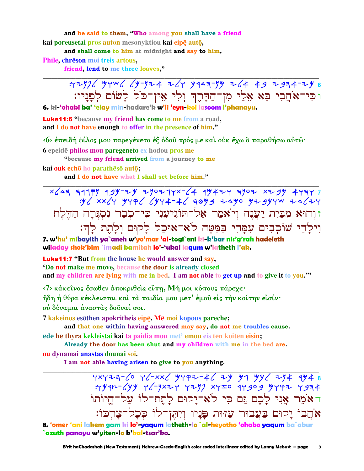and he said to them, "Who among you shall have a friend kai poreusetai pros auton mesonyktiou kai eipę autę,

and shall come to him at midnight and say to him,

Phile, chreson moi treis artous,

friend, lend to me three loaves,"

: 42976 MYW6 64-924 Z64 Y949-9M Z64 49 Z934-ZY 6 וּכִּי־אֹהֲבִי בָּא אֵלֵי מִן־הַדָּרֶךְ וְלִי אֵין־כֹּל לָשׂוֹם לְפָנָיו:

6. ki-'ohabi ba' 'elay min-hadare'k w'li 'eyn-kol lasoom l'phanayu.

**Luke11:6** "because my friend has come to me from a road, and I do not have enough to offer in the presence of him."

«6> έπειδή φίλος μου παρεγένετο έξ όδου πρός με και ούκ έχω ο παραθήσω αύτω·

6 epeidē philos mou paregeneto ex hodou pros me

"because my friend arrived from a journey to me

kai ouk echō ho parathēsō autō;

and I do not have what I shall set before him."

זוהוא מִבַּיִת יַעֲנֵה וִיֹאמַר אַל־תּוֹגִיעָנִי כִּי־כִבָר נִסְגָּרָה הַדֵּלֵת וִילַדֵי שׁוֹכִבִים עִמֲדִי בַּמְטַּה לֹאָ־אוּכַל לַקוּם וְלַחֵת לַדְּ:

7. w'hu' mibavith ya`aneh w'yo'mar 'al-togi`eni ki-k'bar nis'g'rah hadeleth wiladay shok'bim`imadi bamitah lo'-'ukal lagum w'latheth l'ak.

**Luke11:7** "But from the house he would answer and say,

**Do not make me move, because the door is already closed** and my children are lying with me in bed. I am not able to get up and to give it to you."

 $\langle 7 \rangle$  κάκεινος έσωθεν άποκριθείς είπη, Μή μοι κόπους πάρεχε·

ήδη ή θύρα κέκλεισται και τα παιδία μου μετ' έμου εις την κοίτην εισίν· ού δύναμαι άναστάς δούναί σοι.

7 kakeinos esōthen apokritheis eipē, Mē moi kopous pareche;

and that one within having answered may say, do not me troubles cause. ēdē hē thyra kekleistai kai ta paidia mou met' emou eis tēn koitēn eisin;

Already the door has been shut and my children with me in the bed are. ou dynamai anastas dounai soi.

I am not able having arisen to give to you anything.

: YY4n- LYY YL-YXIY YIY XYIO 4Y909 YYPI Y934 חאֹמֶר אֲנִי לַכֶם גַּם כִּי לֹא־יַקוּם לַחֲת־לוֹ עַל־הֵיוֹתוֹ אֹהֵבוֹ יַקוּם בַּעֲבוּר עַזּוּת פַּנַיו וְיִתְּן־לוֹ כִּכָל־צָרְכּוֹ:

8. 'omer 'ani lakem gam ki lo'-yaqum latheth-lo `al-heyotho 'ohabo yaqum ba`abur `azuth panayu w'yiten-lo k'kal-tsar'ko.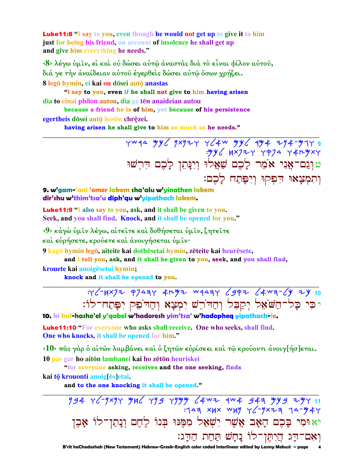**Luke11:8** "I say to you, even though he would not get up to give it to him just for being his friend, on account of insolence he shall get up and give him everything he needs."

 $\langle 8 \rangle$  λέγω ύμιν, εί και ού δώσει αύτω άναστας δια το είναι φίλον αύτου, διά γε την αναίδειαν αύτου εγερθείς δώσει αυτώ όσων χρήζει. 8 legō hymin, ei kai ou dōsei autō anastas

"I say to you, even if he shall not give to him having arisen dia to einai philon autou, dia ge tēn anaideian autou

because a friend he is of him, yet because of his persistence egertheis dōsei autō hosōn chrēzei.

having arisen he shall give to him as much as he needs."

vwqa yy / yxyzy y / 4w yy / 9y 4 zy 4-y 14 9 <mark>טןְנֵם־אֲנִי אֹמֵר לָכֶם שַׁאֲל<sup>ֹן,</sup> וְיִנָּתְן לַכֵם הִרִשׁוּ</mark> וְתִמְצֵאוּ הִפְקוּ וְיִפַּתַח לַכֵם:

### 9. w'gam-'ani 'omer lakem sha'alu w'yinathen lakem dir'shu w'thim'tsa'u diph'qu w'yipathach lakem.

**Luke11:9 "I** also say to you, ask, and it shall be given to you. Seek, and you shall find. Knock, and it shall be opened for you."

<9> κάγὼ ὑμῖν λέγω, αἰτεῖτε καὶ δοθήσεται ὑμῖν, ζητεῖτε

καὶ εὑρήσετε, κρούετε καὶ ἀνοιγήσεται ὑμῖν·

9 kagō hymin legō, aiteite kai dothēsetai hymin, zēteite kai heurēsete,

and I tell you, ask, and it shall be given to you, seek, and you shall find,

krouete kai anoigēsetai hymin;

knock and it shall be opened to you.

 $75/7$   $40/7$   $72/9$   $41/9$   $41/9$   $443/6$   $49/1$   $40/10$ יכי כל־השאל יקבל וההתש ימצא וההפק יפתח־לו:

### 10. ki kal-hasho'el y'gabel w'hadoresh yim'tsa' w'hadopheg yipathach-lo.

Luke11:10 "For everyone who asks shall receive. One who seeks, shall find. One who knocks, it shall be opened for him."

 $\langle 10 \rangle$  πας γάρ ο αίτων λαμβάνει και ο ζητων ευρίσκει και τω κρούοντι ανοιγ[ήσ]εται. 10 pas gar ho aitōn lambanei kai ho zētōn heuriskei

"for everyone asking, receives and the one seeking, finds

kai tō krouonti anoig[ēs]etai.

and to the one knocking it shall be opened."

194 76-1774 784 799 7999 14 14 744 144 76-17<br>744-47 14-174-74 147 148 148 149: יא וּמִי בָּכֶם הָאָב אֲשֶׁר יִשְׁאַל מִמֵּנוּ בִּנוֹ לֵחֵם וְנַתַּן־לוֹ אַבִן וָאִם־דָּג הֲיִתֶּן־לוֹ נָחָשׁ תַּחַת הַדָּג:

B'rit haChadashah (New Testament) Hebrew-Greek-English color coded Interlinear edited by Lanny Mebust - page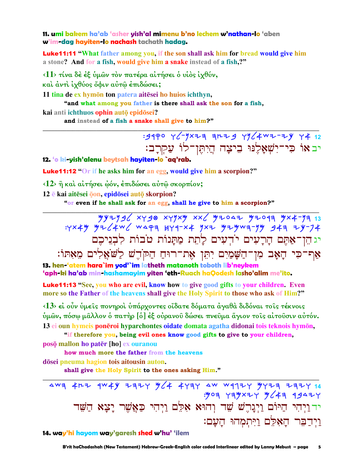11. umi bakem ha'ab 'asher yish**'al mimenu b'no lechem w'nathan-lo** 'aben w'im-dag hayiten-lo nachash tachath hadag.

**Luke11:11** "What father among you, if the son shall ask him for bread would give him a stone? And for a fish, would give him a snake instead of a fish,?"

<11> τίνα δέ έξ ύμων τον πατέρα αίτήσει ο υίος ίχθύν, και άντι ίχθύος ὄφιν αυτώ έπιδώσει;

11 tina de ex hymon ton patera aitesei ho huios ichthyn,

"and what among you father is there shall ask the son for a fish,

kai anti ichthuos ophin autō epidōsei?

and instead of a fish a snake shall give to him?"

# : 9440 Y (- 1x23 3 42 4 42 4 42 42 44 12 יב אוֹ פִי־יִשְׁאָלֶנּוּ בִיצָה הֲיִתֶּן־לוֹ עַקְרְב:

### 12. 'o ki-yish'alenu beytsah hayiten-lo `aq'rab.

**Luke11:12** "Or if he asks him for an egg, would give him a scorpion?"

 $\langle 12 \rangle$  ή και αίτήσει ώόν, έπιδώσει αύτω σκορπίον;

12 ē kai aitēsei <sub>0</sub> on, epidosei auto skorpion?

"or even if he shall ask for an egg, shall he give to him a scorpion?"

 $794796$  xygo xyyxy xx y2047 y2097 yx4-y7 13 : 4x44 4x / 4w / wapa HY9-x4 yx2 424wa-yy 94a 24-74 יג הֵן־אַתֵּם הַרֲעִים יֹדְעִים לָהֵת מַתֲנוֹת טֹבוֹת לְבְנֵיכֶם אַף־כִּי הָאָב מִן־הַשָּׁמַיִם יִתֵּן אֶת־רוּחַ הַקֹּהֵשׁ לַשֹּׁאֲלִים מֵאִתּוֹ:

13. hen-'atem hara`im yod'`im latheth matanoth toboth lib'neykem 'aph-ki ha'ab min-hashamayim yiten 'eth-Ruach haQodesh lasho'alim me'ito.

**Luke11:13** "See, you who are evil, know how to give good gifts to your children. Even more so the Father of the heavens shall give the Holy Spirit to those who ask of Him?"

 $\langle 13 \rangle$  εί ούν ύμεις πονηροί ύπάρχοντες οίδατε δόματα άγαθά διδόναι τοις τέκνοις ύμῶν, πόσω μᾶλλον ὁ πατὴρ [ὁ] ἐξ οὐρανοῦ δώσει πνεῦμα ἅγιον τοῖς αἰτοῦσιν αὐτόν. 13 ei oun hymeis ponēroi hyparchontes oidate domata agatha didonai tois teknois hymōn,

"if therefore you, being evil ones know good gifts to give to your children,

posō mallon ho patēr [ho] ex ouranou

how much more the father from the heavens

dōsei pneuma hagion tois aitousin auton.

shall give the Holy Spirit to the ones asking Him."

4W3 4H2 9W4Y 2324 364 4434 4W W9724 34724 2324 14 : yoa yayxzy y (4a 9942Y ידוַיִהִי הַיּוֹם וַיִּנָרֵשׁ שֵׁד וְהוּא אָלֵם וַיִּהִי כַּאֲשֵׁר יָצָא הַשֵּׁד וידבר האלם ויתמהו העם:

14. way'hi hayom way'garesh shed w'hu' 'ilem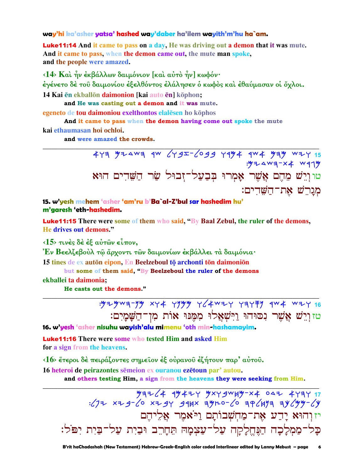#### way'hi ka'asher yatsa' hashed way'daber ha'ilem wayith'm'hu ha`am.

**Luke11:14** And it came to pass on a day, He was driving out a demon that it was mute. And it came to pass, when the demon came out, the mute man spoke, and the people were amazed.

<14> Και ήν έκβάλλων δαιμόνιον [και αύτο ήν] κωφόν· έγένετο δὲ τοῦ δαιμονίου ἐξελθόντος ἐλάλησεν ὁ κωφὸς καὶ ἐθαύμασαν οἱ ὄχλοι. 14 Kai ēn ekballōn daimonion [kai auto ēn] kōphon;

and He was casting out a demon and it was mute.

egeneto de tou daimoniou exelthontos elalesen ho kophos

And it came to pass when the demon having come out spoke the mute kai ethaumasan hoi ochloi.

and were amazed the crowds.

473 924wa qw 679I-6099 7994 9w4 9ay wzy 15  $: 4974$  wa-x + wang טוּוְיֵשׁ מֶהֶם אֲשֶׁר אָמְרוּ בִּבַעֲל־זָבוּל שַׂר הַשֵּׁדִים הוּא מגרשׁ את־השׁדים:

15. w'yesh mehem 'asher 'am'ru b'Ba`al-Z'bul sar hashedim hu' m'garesh 'eth-hashedim.

**Luke11:15** There were some of them who said, "By Baal Zebul, the ruler of the demons, He drives out demons."

 $\langle 15 \rangle$  τινές δέ έξ αύτων είπον.

Εν Βεελζεβούλ τῶ ἄρχοντι τῶν δαιμονίων ἐκβάλλει τὰ δαιμόνια·

15 tines de ex autōn eipon. En Beelzeboul tō archonti tōn daimoniōn

but some of them said, "By Beelzeboul the ruler of the demons

ekballei ta daimonia;

He casts out the demons."

טזוְרֵשׁ אֲשֶׁר נִסוּהוּ וַיְּשָׁאֲלוּ מִמְּנוּ אוֹת מִן־הַשָּׁמַיִם:

16. w'yesh 'asher nisuhu wayish'alu mimenu 'oth min-hashamayim.

**Luke11:16** There were some who tested Him and asked Him for a sign from the heavens.

 $\langle 16 \rangle$  έτεροι δέ πειράζοντες σημείον έξ ούρανου έζήτουν παρ' αύτου.

16 heteroi de peirazontes semeion ex ouranou ezetoun par' autou.

and others testing Him, a sign from the heavens they were seeking from Him.

 $\frac{1}{2}$ יזוהוא יַדַע אֲת־מַחִשָּׁבוֹתַם וַיֹּאמֶר אֲלֵיהֵם כַּל־מַמְלַכָה הַנֵּחֵלַקַה עַל־עַצְמַהּ תֵּחַרֵב וּבַיִת עַל־בַּיִת יִפֹּל: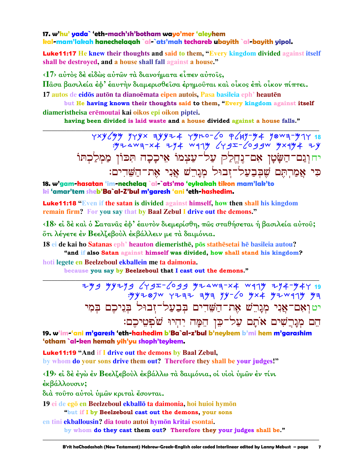### 17. w'hu' yada` 'eth-mach'sh'botham wayo'mer 'aleyhem kal-mam'lakah hanechelagah `al-`ats'mah techareb ubayith `al-bayith yipol.

**Luke11:17** He knew their thoughts and said to them, "Every kingdom divided against itself shall be destroyed, and a house shall fall against a house."

<17> αύτος δέ είδώς αύτων τα διανοήματα είπεν αύτοις,

Πάσα βασιλεία έφ' έαυτήν διαμερισθείσα έρημούται και οίκος έπι οίκον πίπτει.

17 autos de eidos auton ta dianoemata eipen autois. Pasa basileia eph<sup>3</sup> heauten

but He having known their thoughts said to them, "Every kingdom against itself diameristheisa erēmoutai kai oikos epi oikon piptei.

having been divided is laid waste and a house divided against a house falls."

יחוְנַם־הַשָּׂטְן אִם־נֶחֱלַק עַל־עַצְמוֹ אֵיכָכָה תִּכּוֹן מַמְלַכְתּוֹ כִּי אַמַרְהָם שֵׁבְבַעֲל־זָבוּל מְגָרֵשׁ אֲנִי אָת־הַשֵּׁדִים:

18. w'gam-hasatan 'im-nechelaq `al-`ats'mo 'eykakah tikon mam'lak'to ki 'amar'tem sheb'Ba`al-Z'bul m'garesh 'ani 'eth-hashedim.

**Luke11:18** "Even if the satan is divided against himself, how then shall his kingdom remain firm? For you say that by Baal Zebul I drive out the demons."

(18) εί δέ καί ο Σατανας έφ' έαυτον διεμερίσθη, πως σταθήσεται ή βασιλεία αύτου; ότι λέγετε έν Βεελζεβούλ έκβάλλειν με τα δαιμόνια.

18 ei de kai ho Satanas eph<sup>3</sup> heauton diemeristhe, pos stathesetai he basileia autou? "and if also Satan against himself was divided, how shall stand his kingdom?

hoti legete en Beelzeboul ekballein me ta daimonia.

because you say by Beelzeboul that I cast out the demons."

 $749$  4y2y3  $6$ y3I-6039 yzAwa-x4 wqyy 7y4-y4y 19  $:$  "yyz  $\otimes$  7w  $\vee$  7 z = z = yy = x = yz x + yz w q 1 y y = x = yz יטוְאָם־אֲנִי מְנָרֵשׁ אֶת־הַשֵּׁדִים בְּבַעַל־זִבוּל בִּנִיכֵם בִּמִי הם מִנַרַשִׁים אֹתַם עַל־כֵּן הֵמָּה יִהְיוּ שֹׁפְטֵיכֶם:

19. w'im-'ani m'garesh 'eth-hashedim b'Ba`al-z'bul b'neykem b'mi hem m'garashim 'otham `al-ken hemah yih'yu shoph'teykem.

**Luke11:19 "And if I drive out the demons by Baal Zebul,** by whom do your sons drive them out? Therefore they shall be your judges!"

<19> εί δέ έγω έν Βεελζεβούλ έκβάλλω τα δαιμόνια, οι υιοί ύμων έν τίνι

έκβάλλουσιν;

διά τούτο αύτοι ύμων κριται έσονται.

19 ei de egō en Beelzeboul ekballō ta daimonia, hoi huioi hymōn

"but if I by Beelzeboul cast out the demons, your sons

en tini ekballousin? dia touto autoi hymon kritai esontai.

by whom do they cast them out? Therefore they your judges shall be."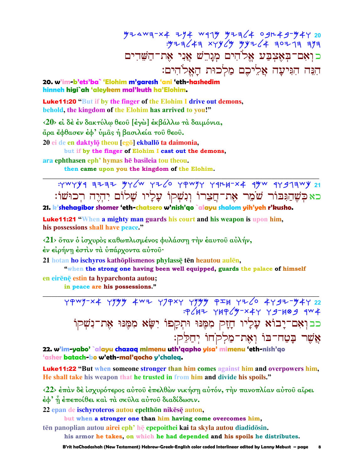כואם־באֲצִבַּע אֱלֹהִים מְגַרֵשׁ אֲנִי אָת־הַשֵּׁדִים הִנָּה הִגִּיעַה אֱלֵיכֶם מַלְכוּת הַאֱלֹהִים:

20. w'im-b'ets'ba` 'Elohim m'garesh 'ani 'eth-hashedim hinneh higi`ah 'aleykem mal'kuth ha'Elohim.

**Luke11:20 "But if by the finger of the Elohim I drive out demons.** behold, the kingdom of the Elohim has arrived to you!"

<20> εί δέ έν δακτύλω θεού [έγω] έκβάλλω τα δαιμόνια, άρα έφθασεν έφ' ύμας ή βασιλεία του θεου. 20 ei de en daktylō theou [egō] ekballō ta daimonia, but if by the finger of Elohim I cast out the demons,

ara ephthasen eph' hymas he basileia tou theou.

then came upon you the kingdom of the Elohim.

: YWYY9 3232 YY (W YZ CO YAWYY Y9124-X4 9YW 9Y 973WY 21 כאַכִּשֵׁהַגִּבּוֹר שֹׁמֵר אָת־הֲצֶרוֹ וְנִשְׁקוֹ עָלָיו שָׁלוֹם יִהְיֵה רִכוּשׁוֹ:

21. k'shehagibor shomer 'eth-chatsero w'nish'qo `alayu shalom yih'yeh r'kusho.

**Luke11:21 "When a mighty man guards his court and his weapon is upon him,** his possessions shall have peace."

<21> όταν ο ίσχυρός καθωπλισμένος φυλάσση την έαυτου αύλήν,

έν είρήνη έστιν τα υπάρχοντα αυτου·

21 hotan ho ischyros kathōplismenos phylassę tēn heautou aulēn,

"when the strong one having been well equipped, guards the palace of himself en eirēnē estin ta hyparchonta autou;

in peace are his possessions."

79WJ-X4 YJYY 4WZ YJPXY YJYY 9IH YZ6 4YJZ-Y4Y 22 כבוְאִם־יָבוֹא עָלִיו חָזָק מִמֶּנּוּ וּתְקַפוֹ יִשָּׂא מִמֵּנּוּ אֶת־נִשְׁקוֹ אֲשֶׁר בָּטַח־בּוֹ וְאָת־מַלְקֹחוֹ יִחַלֵּק:

22. w'im-yabo' `alayu chazaq mimenu uth'qapho yisa' mimenu 'eth-nish'go 'asher batach-bo w'eth-mal'gocho y'chaleg.

**Luke11:22** "But when someone stronger than him comes against him and overpowers him, He shall take his weapon that he trusted in from him and divide his spoils."

<22> έπαν δε ίσχυρότερος αύτου έπελθών νικήση αύτόν, την πανοπλίαν αύτου αίρει έφ' ή έπεποίθει και τα σκύλα αύτου διαδίδωσιν.

22 epan de ischyroteros autou epelthōn nikēsē auton,

but when a stronger one than him having come overcomes him,

tēn panoplian autou airei eph' hē epepoithei kai ta skyla autou diadidōsin.

his armor he takes, on which he had depended and his spoils he distributes.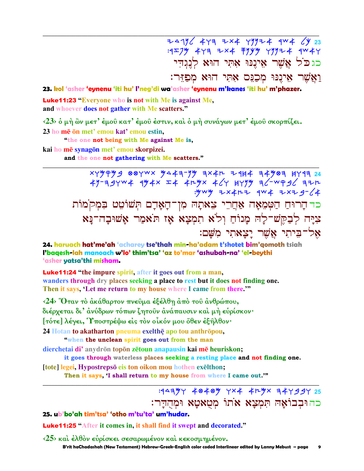24796 449 2x4 49924 4w4 64 23 כגכל אֲשֶׁר אִינֵנּוּ אָתִי הוּא לְנְגִדִי וַאֲשֶׁר אִינֵנּוּ מִכְנֵּם אָתִּי הוּא מִפְזֶּר:

23. kol 'asher 'eynenu 'iti hu' l'neg'di wa'asher 'eynenu m'kanes 'iti hu' m'phazer.

**Luke11:23** "Everyone who is not with Me is against Me, and whoever does not gather with Me scatters."

 $\langle 23 \rangle$  δ μή ὢν μετ' έμοῦ κατ' έμοῦ ἐστιν, καὶ δ μή συνάγων μετ' έμοῦ σκορπίζει.

23 ho me on met' emou kat' emou estin.

"the one not being with Me against Me is, kai ho mē synagōn met' emou skorpizei.

and the one not gathering with Me scatters."

 $x + y + y = 0$  88  $Y$  wx  $y = 4 - y$  ax  $4 - 1$   $x = 4$  at  $x = 4$   $y = 4$  at  $x = 4$ : www =x4r= qw4 =xx2 g- (4 כר הריח הַטִּמְאָה אַחֲרֵי צִאתָהּ מִן־הָאָדָם תִּשׁוֹטֵט בִּמְקֹמוֹת צִיַּה לְבָקֵשׁ־לַָה מַנוֹחַ וְלֹא תִמְצָא אָז תֹּאמַר אַשׁוּבָה־נַּא אֱל־בֵיתִי אֱשֶׁר יַצַאתִי מִשַּׁם:

24. haruach hat'me'ah 'acharey tse'thah min-ha'adam t'shotet bim'qomoth tsiah l'baqesh-lah manoach w'lo' thim'tsa' 'az to'mar 'ashubah-na' 'el-beythi 'asher yatsa'thi misham.

**Luke11:24** "the impure spirit, after it goes out from a man. wanders through dry places seeking a place to rest but it does not finding one. Then it says, 'Let me return to my house where I came from there."

<24> Όταν τὸ ἀκάθαρτον πνεῦμα ἐξέλθη ἀπὸ τοῦ ἀνθρώπου, διέρχεται δι' άνύδρων τόπων ζητοῦν ανάπαυσιν και μη ευρίσκον· Γτότε] λέγει, Υποστρέψω είς τον οίκόν μου ὄθεν έξηλθον· 24 Hotan to akatharton pneuma exelthe apo tou anthropou, "when the unclean spirit goes out from the man dierchetai di'anydrōn topōn zētoun anapausin kai mē heuriskon;

it goes through waterless places seeking a resting place and not finding one. [tote] legei, Hypostrepsō eis ton oikon mou hothen exelthon;

Then it says, 'I shall return to my house from where I came out.""

## כהובבוֹאה תמצא אֹתוֹ מטאטא וּמחדר:

9

### 25. ub'bo'ah tim'tsa' 'otho m'tu'ta' um'hudar.

**Luke11:25** "After it comes in, it shall find it swept and decorated."

<25> και έλθον ευρίσκει σεσαρωμένον και κεκοσμημένον. B'rit haChadashah (New Testament) Hebrew-Greek-English color coded Interlinear edited by Lanny Mebust — page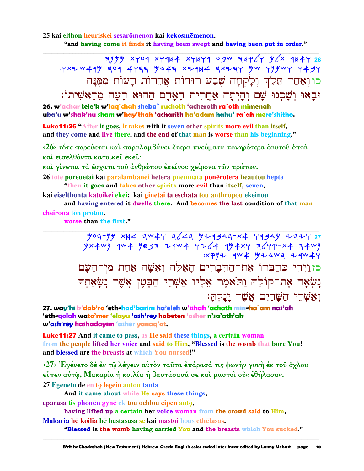### 25 kai elthon heuriskei sesarōmenon kai kekosmēmenon. "and having come it finds it having been swept and having been put in order."

 $7999$  xyoq xyqu4 xyuyq ogw 3up (y y x 3u4y 26 : YXZW44 99 4893 4833 9443 XZ444 3XZ3Y 9W Y99WY Y49Y כוואַחַר תֵּלֶךְ וְלַקְחָה שֶׁבַע רוּחוֹת אֲחֶרוֹת רָעוֹת מְמֵנַּה וּבַאוּ וִשַּׁכְנוּ שֵׁם וְהַיְתָה אָחֲרִית הַאֲדָם הַהוּא רַעַה מֶרֵאֹשִׁיתוֹ:

26. w'achar tele'k w'lag'chah sheba` ruchoth 'acheroth ra`oth mimenah uba'u w'shak'nu sham w'hay'thah 'acharith ha'adam hahu' ra`ah mere'shitho.

**Luke11:26 "After it goes, it takes with it seven other spirits more evil than itself,** and they come and live there, and the end of that man is worse than his beginning."

 $\langle 26 \rangle$  τότε πορεύεται και παραλαμβάνει έτερα πνεύματα πονηρότερα εαυτου επτα και είσελθόντα κατοικει έκει·

και γίνεται τα έσχατα του ανθρώπου εκείνου χείρονα των πρώτων.

26 tote poreuetai kai paralambanei hetera pneumata ponērotera heautou hepta "then it goes and takes other spirits more evil than itself, seven,

kai eiselthonta katoikei ekei; kai ginetai ta eschata tou anthrōpou ekeinou

and having entered it dwells there. And becomes the last condition of that man cheirona tōn prōtōn.

worse than the first."

 $\frac{1}{27}$   $\frac{1}{27}$   $\frac{1}{27}$   $\frac{1}{27}$   $\frac{1}{27}$   $\frac{1}{27}$   $\frac{1}{27}$   $\frac{1}{27}$   $\frac{1}{27}$   $\frac{1}{27}$   $\frac{1}{27}$   $\frac{1}{27}$   $\frac{1}{27}$   $\frac{1}{27}$   $\frac{1}{27}$   $\frac{1}{27}$   $\frac{1}{27}$   $\frac{1}{27}$   $\frac{1}{27}$   $\frac{1}{27}$   $yx4wy$  4w4 9097 24w4 4264 494x4 76447 244 74w9  $\mathbb{R}$   $\mathbb{R}$   $\mathbb{R}$   $\mathbb{R}$   $\mathbb{R}$   $\mathbb{R}$   $\mathbb{R}$   $\mathbb{R}$   $\mathbb{R}$   $\mathbb{R}$   $\mathbb{R}$   $\mathbb{R}$   $\mathbb{R}$   $\mathbb{R}$   $\mathbb{R}$   $\mathbb{R}$   $\mathbb{R}$   $\mathbb{R}$   $\mathbb{R}$   $\mathbb{R}$   $\mathbb{R}$   $\mathbb{R}$   $\mathbb{R}$   $\mathbb{R}$   $\mathbb{$ כזוַיִהִי כִּדְבְּרוֹ אֶת־הַדִּבְרִים הָאֵלֵּה וְאִשָּׁה אַחַת מִן־הָעָם נַשְׂאָה אֶת־קוֹלַהּ וַתֹּאמֶר אָלִיו אַשְׁרֵי הַבֶּטֶן אֲשֶׁר נְשָׂאַתְךָ וָאֲשָׁרֵי הַשָּׁדַיִם אֲשֶׁר יָנָקְתָּ׃

27. way'hi k'dab'ro 'eth-had'barim ha'eleh w'ishah 'achath min-ha`am nas'ah 'eth-golah wato'mer 'elayu 'ash'rey habeten 'asher n'sa'ath'ak w'ash'rey hashadayim 'asher yanaq'at.

**Luke11:27** And it came to pass, as He said these things, a certain woman from the people lifted her voice and said to Him, "Blessed is the womb that bore You! and blessed are the breasts at which You nursed!"

<27> Έγένετο δέ έν τῷ λέγειν αὐτὸν ταῦτα ἐπάρασά τις φωνὴν γυνὴ ἐκ τοῦ ὄχλου είπεν αύτῶ, Μακαρία ή κοιλία ή βαστάσασά σε και μαστοι οΰς έθήλασας.

27 Egeneto de en to legein auton tauta

And it came about while He says these things,

eparasa tis phōnēn gynē ek tou ochlou eipen autō,

having lifted up a certain her voice woman from the crowd said to Him,

Makaria hē koilia hē bastasasa se kai mastoi hous ethēlasas.

"Blessed is the womb having carried You and the breasts which You sucked."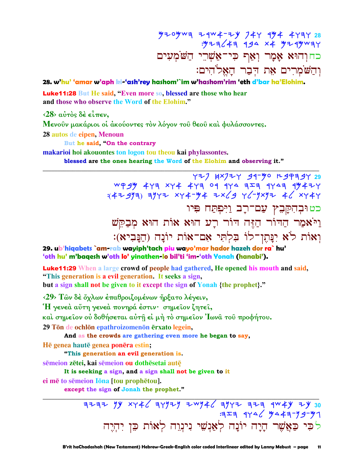כחוְהוּא אָמָר וְאַף כִּי־אַשְׁרֵי הַשֹּׂמְעִים וְהַשֹּׁמְרִים אֶת הִבָר הַאֲלֹהִים:

YZJ HXJZY 91-50 R9PA9Y 29

28. w'hu' 'amar w'aph ki-'ash'rey hashom'`im w'hashom'rim 'eth d'bar ha'Elohim.

**Luke11:28** But He said, "Even more so, blessed are those who hear and those who observe the Word of the Elohim."

 $\langle 28 \rangle$  αυτός δέ είπεν.

Μενούν μακάριοι οι άκούοντες τον λόγον του θεου και φυλάσσοντες.

28 autos de eipen, Menoun

But he said. "On the contrary

makarioi hoi akouontes ton logon tou theou kai phylassontes.

blessed are the ones hearing the Word of the Elohim and observing it."

WP34 477 XY4 477 09 9Y4 727 9Y47 9Y47Y  $(47997)$  3942 x44-94 2x(9 4(-9x92 4(x444) כטוּבְהִקַּבֵץ עַם־רַב וַיִּפְתַּח פִּיו וַיֹּאָמַר הַדוֹר הַזֶּה דוֹר רָע הוּאָ אוֹת הוּאָ מְבַקֵּשׁ וְאוֹת לֹא יִנַּתְן־לוֹ בִּלְתִּי אִם־אוֹת יוֹנַה (הַנַּבִיא):

29. ub'higabets `am-rab wayiph'tach piu wayo'mar hador hazeh dor ra` hu' 'oth hu' m'bagesh w'oth lo' yinathen-lo bil'ti 'im-'oth Yonah (hanabi').

**Luke11:29** When a large crowd of people had gathered, He opened his mouth and said, "This generation is a evil generation. It seeks a sign, but a sign shall not be given to it except the sign of Yonah {the prophet}."

<29> Τῶν δέ ὄχλων έπαθροιζομένων ἤρξατο λέγειν,

'Η γενεά αύτη γενεά πονηρά έστιν· σημείον ζητεί,

καὶ σημείον οὐ δοθήσεται αὐτῆ εἰ μὴ τὸ σημείον Ἰωνα τοῦ προφήτου.

29 Tōn de ochlōn epathroizomenōn ērxato legein,

And as the crowds are gathering even more he began to say,

Hē genea hautē genea ponēra estin:

"This generation an evil generation is.

sēmeion zētei, kai sēmeion ou dothēsetai autē

It is seeking a sign, and a sign shall not be given to it

ei mē to sēmeion lōna [tou prophētou].

except the sign of Jonah the prophet."

לִכִּי כַּאֲשֶׁר הָיָה יוֹנָה לְאֲנְשֵׁי נִינְוֵה לְאוֹת כֵּן יִהְיֵה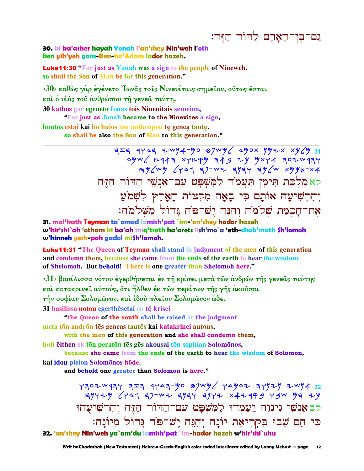## גם־בִּוְ־הַאֲרָם לַדוֹר הַזֶּה:

### 30. ki ka'asher hayah Yonah I'an'shey Nin'weh I'oth ken yih'yeh gam-Ben-ha'Adam lador hazeh.

**Luke11:30 "For just as Yonah was a sign to the people of Nineweh,** so shall the Son of Man be for this generation."

<30> καθώς γάρ έγένετο 'Iωνας τοις Νινευίταις σημείον, ούτως έσται και ο υίος του άνθρώπου τη γενεα ταύτη.

30 kathōs gar egeneto Iōnas tois Nineuitais sēmeion,

"For just as Jonah became to the Ninevites a sign,

houtos estai kai ho huios tou anthropou tē genea tautē. so shall be also the Son of Man to this generation."

> $757$  4443 2wy4-yo 87wy 4yox yyzx xy/y 31 לא מַלִכַּת תִּימָן תַּעֲמֹד לַמְּשִׁפָּט עִם־אַנִשֵׁי הַדוֹר הַזִּה וְהִרְשִׁיעָה אוֹתָם כִּי בָאָה מִקְצוֹת הָאָרֵץ לְשָׁמֹעַ את־חַכִמַת שִׁלֹמֹה וְהִנֵּה יֵשׁ־פֹּה נָּדוֹל מִשְׁלֹמֹה:

31. mal'kath Teyman ta`amod lamish'pat `im-'an'shey hador hazeh w'hir'shi`ah 'otham ki ba'ah miq'tsoth ha'arets lish'mo`a 'eth-chak'math Sh'lomoh w'hinneh yesh-poh gadol mish'lomoh.

Luke11:31 "The Queen of Teyman shall stand in judgment of the men of this generation and condemn them, because she came from the ends of the earth to hear the wisdom of Shelomoh. But behold! There is one greater than Shelomoh here."

<31> βασίλισσα νότου έγερθήσεται έν τη κρίσει μετά των άνδρων της γενεας ταύτης και κατακρινεί αύτούς, ὅτι ἦλθεν ἐκ τῶν περάτων τής γής ἀκούσαι τήν σοφίαν Σολομώνος, και ίδου πλείον Σολομώνος ώδε.

31 basilissa notou egerthēsetai en tē krisei

"the Queen of the south shall be raised at the judgment

meta tōn andrōn tēs geneas tautēs kai katakrinei autous,

with the men of this generation and she shall condemn them,

hoti elthen ek tōn peratōn tēs gēs akousai tēn sophian Solomōnos,

because she came from the ends of the earth to hear the wisdom of Solomon,

kai idou pleion Solomonos hode.

and behold one greater than Solomon is here."

 $Y307W13Y$   $3Z3$   $4Y43-y0$   $8Jwy$   $Y4y07$   $3Y17$   $7W14$   $32$ 39429 (441 37-WZ 3934 3942 x42499 49W 43 ZY לב אַנְשִׁי נִינְוָה יַעֲמָדוּ לַמְשִׁפָּט עִם־הַדּוֹר הַזֶּה וְהִרְשִׁיעָהוּ כִּי הֵם שָׁבוּ בִקְרִיאַת יוֹנָה וְהִנֵּה יֵשׁ־פֹּה נֵּדוֹל מִיוֹנָה: 32. 'an'shey Nin'weh ya`am'du lamish'pat`im-hador hazeh w'hir'shi`uhu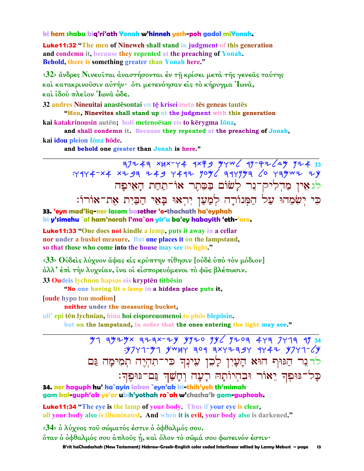### ki hem shabu big'ri'ath Yonah w'hinneh yesh-poh gadol miYonah.

**Luke11:32** "The men of Nineweh shall stand in judgment of this generation and condemn it, because they repented at the preaching of Yonah. Behold, there is something greater than Yonah here."

<32> άνδρες Νινευίται άναστήσονται έν τη κρίσει μετά της γενεας ταύτης καὶ κατακρινοῦσιν αὐτήν· ὅτι μετενόησαν εἰς τὸ κήρυγμα Ἰωνᾶ, καὶ ἰδού πλεῖον Ἰωνα̂ ὧδε.

32 andres Nineuitai anastesontai en te krisei meta tes geneas tautes "Men, Ninevites shall stand up at the judgment with this generation kai katakrinousin autēn; hoti metenoēsan eis to kērygma lōna,

and shall condemn it. Because they repented at the preaching of Jonah, kai idou pleion Iōna hōde.

and behold one greater than Jonah is here."

 $77747 1000$  Fame of the control of Fancy Party Assembly the Fancy Party State State State State State State State State State State State State State State State State State State State State State State State State Stat לגאין מַדְלִיק־נֵר לַשׁוֹם בַּסֶּתֵר אוֹ־תַחַת הַאֵיפַה כִּי יְשִׂמֲהוּ עַל הַמְּנוֹרָה לְמַעַן יִרְאוּ בָּאֵי הַבַּיִת אֶת־אוֹרוֹ: 33. 'eyn mad'lig-ner lasom basether 'o-thachath ha'eyphah

ki y'simehu `al ham'norah l'ma`an yir'u ba'ey habayith 'eth-'oro.

**Luke11:33** "One does not kindle a lamp, puts it away in a cellar nor under a bushel measure. But one places it on the lampstand, so that those who come into the house may see its light."

<33> Ούδεις λύχνον άψας είς κρύπτην τίθησιν [ούδε υπό τον μόδιον] άλλ' έπι την λυχνίαν, ίνα οι είσπορευόμενοι το φώς βλέπωσιν.

33 Oudeis lychnon hapsas eis krypten tithesin

"No one having lit a lamp in a hidden place puts it,

**foude** hypo ton modion

neither under the measuring bucket.

all'epi tēn lychnian, hina hoi eisporeuomenoi to phōs blepōsin.

but on the lampstand, in order that the ones entering the light may see."

 $39777 - 97$  ywyr aog axriagr grai y7rn-6y לדנר הַגּוּף הוּא הָעָיִן לָכֶן עִינִד כִּי־תִהְיֵה תִמִימָה גַּם כָּל־גּוּפְךָ יֵאוֹר וּבִהְיוֹתָהּ רָעָה וְחָשַׁךְ גַּם־גּוּפֶּךְ:

34. ner haguph hu' ha`ayin laken `eyn'ak ki-thih'yeh th'mimah gam kal-guph'ak ye'or ubih'yothah ra`ah w'chasha'k gam-gupheak.

**Luke11:34** "The eye is the lamp of your body. Thus if your eye is clear, all your body also is illuminated. And when it is evil, your body also is darkened."

<34> δ λύχνος του σώματός έστιν δ όφθαλμός σου.

őταν ὁ ὀφθαλμός σου ἁπλοῦς ή, καὶ ὅλον τὸ σῶμά σου φωτεινόν ἐστιν·

B'rit haChadashah (New Testament) Hebrew-Greek-English color coded Interlinear edited by Lanny Mebust - page  $13$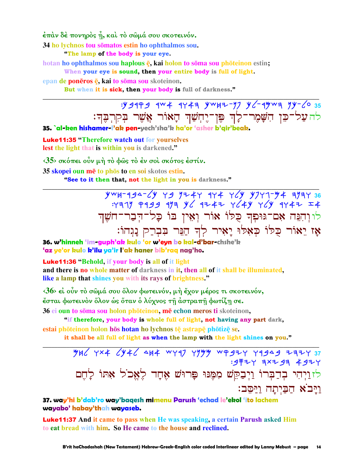έπάν δέ πονηρός ή, καί τό σώμά σου σκοτεινόν.

34 ho lychnos tou somatos estin ho ophthalmos sou.

"The lamp of the body is your eye.

hotan ho ophthalmos sou haplous  $\bar{e}$ , kai holon to soma sou photeinon estin; When your eye is sound, then your entire body is full of light.

epan de ponēros ē, kai to soma sou skoteinon.

But when it is sick, then your body is full of darkness."

 $y = 3999$   $y = 404$   $y = 494$   $y = 12$   $y = 12$   $y = 12$   $y = 12$   $y = 12$   $y = 12$   $y = 12$   $y = 12$   $y = 12$   $y = 12$   $y = 12$   $y = 12$   $y = 12$   $y = 12$   $y = 12$   $y = 12$   $y = 12$   $y = 12$   $y = 12$   $y = 12$   $y = 12$   $y = 12$   $y = 12$   $y = 12$  להעל־כֵּן הִשָּׁמֵר־לַ֣ךְ פֵּן־יֵחִשַׁךְ הָאוֹר אֲשֶׁר בִקְרִבֵּךְ:

35. `al-ken hishamer-l'ak pen-yech'sha'k ha'or 'asher b'gir'beak.

**Luke11:35 "Therefore watch out for yourselves** lest the light that is within you is darkened."

 $35$  σκόπει ούν μή τὸ φῶς τὸ ἐν σοι σκότος ἐστίν.

35 skopei oun mē to phōs to en soi skotos estin.

"See to it then that, not the light in you is darkness."

 $yw + 194 - 6y$   $y - 9$   $y + 4y$   $y + 76y$   $y - 74y + 194y$  36  $747$   $9499$   $919$   $919$   $92$   $9147$   $924$   $9149$   $9147$   $114$ לו וִהְנֵה אָם־גּוּפְדְּ כָלוֹ אוֹר וְאֵין בּוֹ כָל־הִבֲר־חֹשֵׁךְ אֶז יֵאוֹר כִּלוֹ כִאָלוּ יַאִיר לִדְ הַנֵּר בִּבְרַק נַגְהוֹ:

36. w'hinneh 'im-guph'ak kulo 'or w'eyn bo kal-d'bar-chshe'k 'az ye'or kulo k'ilu ya'ir l'ak haner bib'raq nag'ho.

**Luke11:36 "Behold, if your body is all of it light** 

and there is no whole matter of darkness in it, then all of it shall be illuminated, like a lamp that shines you with its rays of brightness."

 $\langle 36 \rangle$  εί ούν το σώμά σου όλον φωτεινόν, μη έχον μέρος τι σκοτεινόν, έσται φωτεινὸν ὅλον ὡς ὅταν ὁ λύχνος τῆ ἀστραπῆ φωτίζῃ σε.

36 ei oun to sōma sou holon phōteinon, mē echon meros ti skoteinon,

"if therefore, your body is whole full of light, not having any part dark,

estai phōteinon holon hōs hotan ho lychnos tē astrapē phōtizē se.

it shall be all full of light as when the lamp with the light shines on you."

524 7x4 6446 444 447 7744 4947 77444 77444 : 9 투 구 H 지 국 X 구 3 국 4 9 구 H לזוַיְהִי בְדַבְּרוֹ וַיִּבַקֵּשׁ מִמֵּנּוּ פַּרוּשׁ אָחַד לֵאֲכֹל אַתּוֹ לַחִם ויבא הביתה ויסב:

37. way'hi b'dab'ro way'baqesh mimenu Parush 'echad le'ekol 'ito lachem wayabo' habay'thah wayaseb.

**Luke11:37** And it came to pass when He was speaking, a certain Parush asked Him to eat bread with him. So He came to the house and reclined.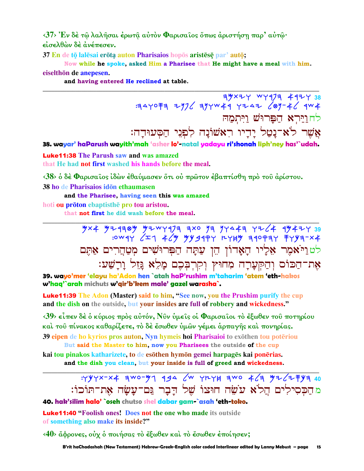<37> Έν δέ τώ λαλήσαι έρωτα αύτον Φαρισαίος όπως άριστήση παρ' αύτω· είσελθών δέ άνέπεσεν.

37 En de tō lalesai erōta auton Pharisaios hopos aristese par' auto;

Now while he spoke, asked Him a Pharisee that He might have a meal with him. eiselthōn de anepesen.

and having entered He reclined at table.

3yxzy wyq73 4924 38 : 34YO F 3 2976 39YW 4 4 Y 2 42 69-46 4W 4 לחוירא הפרוּשׁ ויתמה

אֲשֶׁר לֹא־נַטֲל יַדִיו רִאשׁוֹנַה לִפְגֵי הַסְּעוּדָה:

38. wayar' haParush wayith'mah 'asher lo'-natal yadayu ri'shonah liph'ney has'`udah.

**Luke11:38** The Parush saw and was amazed that He had not first washed his hands before the meal.

<38> ο δέ Φαρισαΐος ίδών έθαύμασεν ότι ού πρώτον έβαπτίσθη πρό του άρίστου.

38 ho de Pharisaios idon ethaumasen

and the Pharisee, having seen this was amazed

hoti ou prōton ebaptisthe pro tou aristou.

that not first he did wash before the meal.

 $\frac{9}{4} \times 4 \frac{9}{4} \frac{4}{4} \frac{9}{4} \frac{4}{4} \frac{1}{4} \frac{1}{4} \frac{1}{4} \frac{1}{4} \frac{1}{4} \frac{1}{4} \frac{1}{4} \frac{1}{4} \frac{1}{4} \frac{1}{4} \frac{1}{4} \frac{1}{4} \frac{1}{4} \frac{1}{4} \frac{1}{4} \frac{1}{4} \frac{1}{4} \frac{1}{4} \frac{1}{4} \frac{1}{4} \frac{1}{4} \frac{1}{4} \frac{1}{4} \frac{1}{4} \frac{1}{4} \frac{1}{4$ לטויאמֶר אַלְיוּ הָאָדוֹן הֵן עַתָּה הַפְּרוּשִׁים מְטַחֲרִים אַתֶּם אֶת־הַכּוֹס וְהַקִּעֲרָה מְחוּץ וְקִרְבְּכֶם מָלֵא גֲזָל וַרָשַׁע:

39. wavo'mer 'elavu ha'Adon hen `atah haP'rushim m'taharim 'atem 'eth-hakos w'haq'`arah michuts w'gir'b'kem male' gazel warasha`.

**Luke11:39** The Adon (Master) said to him, "See now, you the Prushim purify the cup and the dish on the outside, but your insides are full of robbery and wickedness."

 $\langle 39 \rangle$  είπεν δέ ο κύριος προς αυτόν, Νύν υμείς οι Φαρισαίοι το έξωθεν του ποτηρίου καὶ τοῦ πίνακος καθαρίζετε, τὸ δὲ ἔσωθεν ὑμῶν γέμει ἁρπαγῆς καὶ πονηρίας. 39 eipen de ho kyrios pros auton, Nyn hymeis hoi Pharisaioi to exothen tou poteriou

But said the Master to him, now you Pharisees the outside of the cup kai tou pinakos katharizete, to de esōthen hymōn gemei harpagēs kai ponērias. and the dish you clean, but your inside is full of greed and wickedness.

> : YYYX-X4 สพ0-31 494 6 YLYH สพ0 46 37262 FY 40 מהַכִּסִילִים הֲלֹא עֹשֶׂה חוּצוֹ שֵׁל דַבָר גַּם־עַשַׂה אֶת־תּוֹכוֹ:

40. hak'silim halo' `oseh chutso shel dabar gam-`asah 'eth-toko.

**Luke 11:40 "Foolish ones! Does not the one who made its outside** of something also make its inside?"

<40> ἄφρονες, οὐχ ὁ ποιήσας τὸ ἔξωθεν καὶ τὸ ἔσωθεν ἐποίησεν;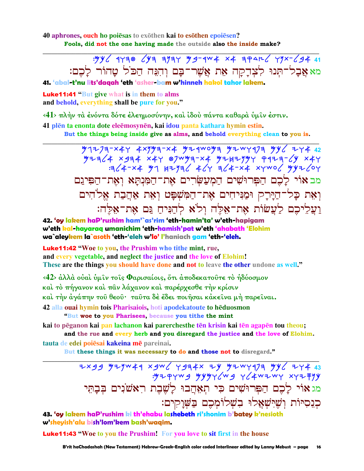40 aphrones, ouch ho poiesas to exothen kai to esothen epoiesen? Fools, did not the one having made the outside also the inside make?

> : yy 6 1730 643 3737 49-144 x4 3 401 6 77 x - 6 9 4 41 מא אֲבָל־תִּנוּ לְצִדַקַה אֵת אֲשֶׁר־בַּם וְהִגָּה הַכֹּל טַהוֹר לַבֶם:

41. 'abal-t'ny lits'dagah 'eth 'asher-bam w'hinneh hakol tahor lakem.

**Luke11:41 "But give what is in them to alms** and behold, everything shall be pure for you."

<41> πλήν τα ένόντα δότε έλεημοσύνην, και ίδου πάντα καθαρα υμίν έστιν.

41 plēn ta enonta dote eleēmosynēn, kai idou panta kathara hymin estin.

But the things being inside give as alms, and behold everything clean to you is.

4x 4x 4x 934 x4y 87wya-x4 924x47 9423-4<br>3x 4x+4 91 4x+2x4 91 4x+2x4 xywo מב אוֹי לַכֵם הַפִּרוּשִׁים הַמְעַשָּׂרִים אֶת־הַמְּנִתָּא וְאָת־הַפִּיגַם וְאֵת כָּל־הַיָּרָק וּמַנִּיחִים אֶת־הַמְּשִׁפָּט וְאָת אַהֲבַת אֵלֹחִים ועליכם לעשות את־אלה ולא להניח גם את־אלה:

42. 'oy lakem haP'rushim ham'`as'rim 'eth-hamin'ta' w'eth-hapigam w'eth kal-hayaraq umanichim 'eth-hamish'pat w'eth 'ahabath 'Elohim wa`aleykem la`asoth 'eth-'eleh w'lo' l'haniach gam 'eth-'eleh.

**Luke11:42** "Woe to you, the Prushim who tithe mint, rue, and every vegetable, and neglect the justice and the love of Elohim! These are the things you should have done and not to leave the other undone as well."

<42> άλλά ούαί ύμιν τοις Φαρισαίοις, ότι άποδεκατούτε το ήδύοσμον καὶ τὸ πήγανον καὶ πᾶν λάχανον καὶ παρέρχεσθε τὴν κρίσιν καί την άγάπην τοῦ θεοῦ· ταῦτα δὲ ἔδει ποιήσαι κάκεῖνα μή παρεῖναι. 42 alla ouai hymin tois Pharisaiois, hoti apodekatoute to heduosmon

"But woe to you Pharisees, because you tithe the mint

kai to pēganon kai pan lachanon kai parerchesthe tēn krisin kai tēn agapēn tou theou; and the rue and every herb and you disregard the justice and the love of Elohim. tauta de edei poiesai kakeina me pareinai.

But these things it was necessary to do and those not to disregard."

7xgg yzyw4q xgw (Ygq 4x zy yzwyq 7q yy 2x+43 מג אוי לָכֶם הַפְּרוּשִׁים כִּי תִאֲהֲבוּ לַשֶּׁבֶת רְאֹשֹׁנִים בִּבתִּי כנסיות ושישאלו בשלומכם בשוקים:

43. 'oy lakem haP'rushim ki th'ehabu lashebeth ri'shonim b'batey k'nesioth w'sheyish'alu bish'lom'kem bash'waqim.

**Luke11:43 "Woe to you the Prushim!** For you love to sit first in the house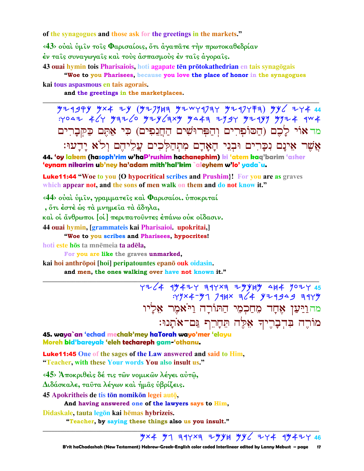of the synagogues and those ask for the greetings in the markets."

<43> ούαι ύμιν τοις Φαρισαίοις, ότι άγαπάτε την πρωτοκαθεδρίαν έν ταις συναγωγαις και τους άσπασμους έν ταις άγοραις.

43 ouai hymin tois Pharisaiois, hoti agapate tēn prōtokathedrian en tais synagōgais

"Woe to you Pharisees, because you love the place of honor in the synagogues kai tous aspasmous en tais agorais.

and the greetings in the marketplaces.

 $y$ 21994  $y \times 4$  24  $(y$ 2741  $y$ 2 21973  $y$ 2 477711)  $yy$  $: y \circ a \rightleftharpoons x'$   $y \circ x \circ y \circ y' \circ x'$   $y \circ x \circ y \circ x' \circ y' \circ x' \circ y' \circ x' \circ y' \circ x' \circ y' \circ x' \circ y' \circ x' \circ y' \circ x' \circ y' \circ x' \circ y' \circ x' \circ y' \circ x' \circ y' \circ x' \circ y' \circ x' \circ y' \circ x' \circ y' \circ x' \circ y' \circ x' \circ y' \circ x' \circ y' \circ x' \circ y' \circ x' \circ y' \circ x' \circ y' \circ x' \circ y' \circ x' \circ y' \circ x' \circ y' \circ x$ מד אוֹי לָכֶם (הַסּוֹפִרִים וְהַפִּרוּשִׁים הַחֲנִפִים) כִּי אַתֶּם כַּקִּבָרִים אֲשֶׁר אֵינָם נִכָּרִים וּבְנֵי הָאָדָם מִתְהַלְכִים עֲלֵיהֵם וְלֹא יַדָעוּ:

44. 'oy lakem (hasoph'rim w'haP'rushim hachanephim) ki 'atem kag'barim 'asher 'eynam nikarim ub'ney ha'adam mith'hal'kim `aleyhem w'lo' yada`u.

**Luke11:44 "Woe to you {O hypocritical scribes and Prushim}! For you are as graves** which appear not, and the sons of men walk on them and do not know it."

 $\langle 44 \rangle$  ουαί υμίν, γραμματείς καί Φαρισαίοι, υποκριταί

, ότι έστε ώς τα μνημεία τα άδηλα,

και οι άνθρωποι [οι ] περιπατούντες επάνω ουκ οίδασιν.

44 ouai hymin, [grammateis kai Pharisaioi. upokritai,]

"Woe to you scribes and Pharisees, hypocrites!

hoti este hos ta mnemeia ta adela,

For you are like the graves unmarked,

kai hoi anthrōpoi [hoi] peripatountes epanō ouk oidasin. and men, the ones walking over have not known it."

> $7724$   $4$   $9477$   $39723$   $7994$   $944$   $9077$   $45$  $777 \times 4 - 97$  744x  $724$  924949 7479 מהוַיַּעַן אֶחָד מִחַכְמִי הַתּוֹרָה וַיֹּאמֶר אֵלְיו מוֹרֶה בְּדְבָרֵיךְ אֵלֶה תֵּחַרֶף גַּם־אֹתֲנוּ:

45. waya`an 'echad mechak'mey haTorah wayo'mer 'elayu Moreh bid'bareyak 'eleh techareph gam-'othanu.

**Luke11:45** One of the sages of the Law answered and said to Him, "Teacher, with these Your words You also insult us."

<45> Άποκριθείς δέ τις των νομικών λέγει αύτω,

Διδάσκαλε, ταῦτα λέγων καὶ ήμας ὑβρίζεις.

45 Apokritheis de tis tōn nomikōn legei autō,

And having answered one of the lawyers says to Him,

Didaskale, tauta legōn kai hēmas hybrizeis.

"Teacher, by saying these things also us you insult."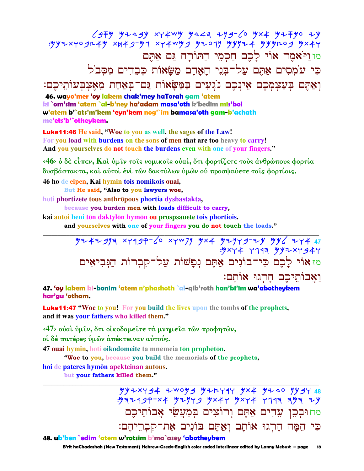### $\zeta$ gŦY Yı△gY XY4WY Y△4╕ ıYg- $\zeta$ o Y×4 YıŦYo ıy  $:$  "YYZXYOJr4Y XH4J-Y1 XY4WYJ YIO1Y YYYIL4 YYYrOJ YX4Y"  $\alpha$ מו וַיֹּאמֶר אוֹי לַכֶם חַכְמֶי הַתּוֹרָה גַּם אַתֵּם  $\Xi$ פִי עֹמְסִים אֲתֵם עֲלֶ־בְּנֵי הַאֲדָם מֲשֵׂאוֹת כִּבְדִים מְסִב<sup>ֹ</sup>ל וַאַתֵּם בִּעֲצִמְכֶם אֵינִכֶם נוֹגִעִים בַּמַּשָׂאוֹת גַּם־בִאַחַת מִאָצִבְעוֹתֵיכֶם: **46. wayo'mer 'oy lakem chak'mey haTorah gam 'atem**

**ki `om'sim 'atem `al-b'ney ha'adam masa'oth k'bedim mis'bol w'atem b'`ats'm'kem 'eyn'kem nog'`im bamasa'oth gam-b'achath me'ets'b'`otheykem.**

Luke11:46 **He said, "Woe to you as well, the sages of the Law! For you load with burdens on the sons of men that are too heavy to carry! And you yourselves do not touch the burdens even with one of your fingers."**

**‹46› ὁ δὲ εἶπεν, Καὶ ὑµῖν τοῖς νοµικοῖς οὐαί, ὅτι φορτίζετε τοὺς ἀνθρώπους φορτία δυσβάστακτα, καὶ αὐτοὶ ἑνὶ τῶν δακτύλων ὑµῶν οὐ προσψαύετε τοῖς φορτίοις.** 

**46 ho de eipen, Kai hymin tois nomikois ouai,** 

**But He said, "Also to you lawyers woe,**

**hoti phortizete tous anthropous phortia dysbastakta**,

**because you burden men with loads difficult to carry,**

**kai autoi heni t**ōn daktylōn hymōn ou prospsauete **tois phortiois.** 

**and yourselves with one of your fingers you do not touch the loads."** 

**\_\_\_\_\_\_\_\_\_\_\_\_\_\_\_\_\_\_\_\_\_\_\_\_\_\_\_\_\_\_\_\_\_\_\_\_\_\_\_\_\_\_\_\_\_\_\_\_\_\_\_\_\_\_\_\_\_\_\_\_\_\_\_\_\_\_\_\_\_\_\_\_\_\_\_\_\_\_\_\_\_\_\_\_\_\_\_\_\_\_\_\_\_** Myaybnh twrbq-lo twcpn Mta Mynwb-yk Mkl ywa **47**  :Mtwa wgrh Mkytwbaw ‹¹'‹¹ƒ¸Mµ† œŸš¸ƒ¹™-µ" œŸ\$´–¸' ¶Uµ' ‹¹'Ÿƒ-‹¹J ¶´ ‹Ÿ' ˆ÷ :´œŸ' E"¸š´† ¶‹·œŸƒ¼'µ‡

**47. 'oy lakem ki-bonim 'atem n'phashoth `al-qib'roth han'bi'im wa'abotheykem har'gu 'otham.**

Luke11:47 **"Woe to you! For you build the lives upon the tombs of the prophets, and it was your fathers who killed them."**

**‹47› οὐαὶ ὑµῖν, ὅτι οἰκοδοµεῖτε τὰ µνηµεῖα τῶν προφητῶν,** 

**οἱ δὲ πατέρες ὑµῶν ἀπέκτειναν αὐτούς.** 

**47 ouai hymin, hoti oikodomeite** ta mnēmeia **tōn prophētōn,** 

 **"Woe to you, because you build the memorials of the prophets,**

**hoi de pateres hymn apekteinan autous.** 

**but your fathers killed them."** 

 Mkytwba ycomb Myewrw Mta Mydo nkbw **48**   $:$  "Maz 199-x4 "YIYY 9" YX4Y "YXY4" Y117 7" 7" 7" מחוּבִכֵן עֵדִים אֲהֵם וְרוֹצִים בִּמַעֲשֵׂי אֲבוֹתֵיכֵם כִּי הֵמָּה הָרְגוּ אוֹתָם וְאַתֵּם בּוֹנִים אֶת־קִבְרֵיהֵם: **48. ub'ken `edim 'atem w'rotsim b'ma`asey 'abotheykem** 

**\_\_\_\_\_\_\_\_\_\_\_\_\_\_\_\_\_\_\_\_\_\_\_\_\_\_\_\_\_\_\_\_\_\_\_\_\_\_\_\_\_\_\_\_\_\_\_\_\_\_\_\_\_\_\_\_\_\_\_\_\_\_\_\_\_\_\_\_\_\_\_\_\_\_\_\_\_\_\_\_\_\_\_\_\_\_\_\_\_\_\_\_\_**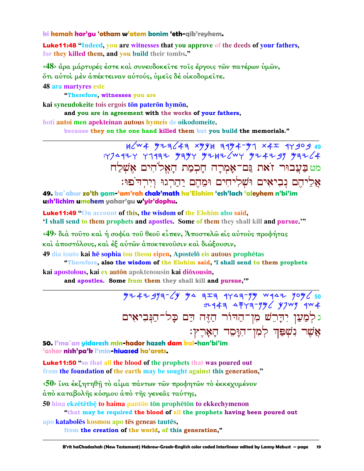ki hemah har'gu 'otham w'atem bonim 'eth-qib'reyhem.

**Luke11:48 "Indeed, you are witnesses that you approve of the deeds of your fathers,** for they killed them, and you build their tombs."

<48> άρα μάρτυρές έστε και συνευδοκείτε τοις έργοις των πατέρων υμών, ότι αύτοι μέν απέκτειναν αύτούς, υμείς δε οικοδομείτε.

**48 ara martyres este** 

"Therefore, witnesses you are

kai syneudokeite tois ergois tōn paterōn hymōn,

and you are in agreement with the works of your fathers,

hoti autoi men apekteinan autous hymeis de oikodomeite.

because they on the one hand killed them but you build the memorials."

מט בַּעֲבוּר זֹאת גַּם־אָמְרַה חַכְמַת הַאֱלֹהִים אֵשְׁלַח אַלֵיהֵם נִבְיאִים וּשָׁלִיחִים וּמֵהֵם יַהֲרְגוּ וְיִרְדֹּפוּ:

49. ba`abur zo'th gam-'am'rah chak'math ha'Elohim 'esh'lach 'aleyhem n'bi'im ush'lichim umehem yahar'gu w'yir'dophu.

**Luke11:49 "On account of this, the wisdom of the Elohim also said,** 'I shall send to them prophets and apostles. Some of them they shall kill and pursue."

<49> διά τούτο καί ή σοφία του θεου είπεν, Άποστελω είς αύτους προφήτας και άποστόλους, και έξ αύτων άποκτενούσιν και διώξουσιν,

49 dia touto kai he sophia tou theou eipen, Apostelo eis autous prophetas "Therefore, also the wisdom of the Elohim said, 'I shall send to them prophets

kai apostolous, kai ex autōn apoktenousin kai diōxousin,

and apostles. Some from them they shall kill and pursue,"

 $774797769$  7944 7945 7444 7444 7444 7444 7444<br>+ 1444 7946 7944 7444 7444 נלְמַעַן יִדְרֵשׁ מִן־הַדוֹר הַזֶּה דַם כָּל־הַנְּבִיאִים אֲשֶׁר נִשְׁפַּךְ לְמִן־הִרָּםֵד הָאָרֶץ:

50. I'ma`an yidaresh min-hador hazeh dam kal-han'bi'im 'asher nish'pa'k l'min-hiuased ha'arets.

**Luke11:50** "so that all the blood of the prophets that was poured out from the foundation of the earth may be sought against this generation,"

<50> ΐνα έκζητηθῆ τὸ αἶμα πάντων τῶν προφητῶν τὸ ἐκκεχυμένον άπὸ καταβολής κόσμου ἀπὸ τής γενεᾶς ταύτης,

50 hina ekzētēthē to haima pantōn tōn prophētōn to ekkechymenon

"that may be required the blood of all the prophets having been poured out

apo katabolēs kosmou apo tēs geneas tautēs, from the creation of the world, of this generation,"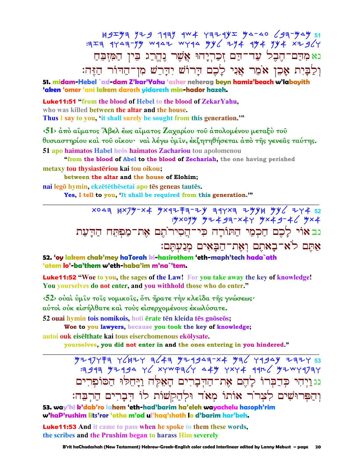נאמִדַם־הֵבִל עַד־דַם זִכַרִיַחוּ אֲשֵׁר נֶהֱרַג בִּין הַמִּזְבֵּחַ וְלַבָּיִת אָכֵן אֹמֵר אֲנִי לָכֶם דָרוֹשׁ יִדָּרֵשׁ מִן־הַדּוֹר הַזֶּה:

51. midam-Hebel `ad-dam Z'kar'Yahu 'asher neherag beyn hamiz'beach w'labayith 'aken 'omer 'ani lakem darosh yidaresh min-hador hazeh.

**Luke11:51** "from the blood of Hebel to the blood of ZekarYahu, who was killed between the altar and the house.

Thus I say to you, 'it shall surely be sought from this generation."

 $\langle 51 \rangle$  άπό αΐματος Άβελ έως αΐματος Ζαχαρίου του άπολομένου μεταξύ του θυσιαστηρίου καὶ τοῦ οἴκου·ναὶ λέγω ὑμῖν, ἐκζητηθήσεται ἀπὸ τῆς γενεᾶς ταύτης. 51 apo haimatos Habel heos haimatos Zachariou tou apolomenou

"from the blood of Abel to the blood of Zechariah, the one having perished metaxy tou thysiasteriou kai tou oikou:

between the altar and the house of Elohim;

nai legō hymin, ekzētēthēsetai apo tēs geneas tautēs. Yes, I tell to you, 'It shall be required from this generation."

> x043 Hx7M-x4 Mx9Z F3-2N 39Yx3 2MYH MY 42Y4 52 : yxoyy y+ 4 g= - x 4 y y x 4 g - 4 6 y x 4 נב אוי לַכֶם חַכְמֵי הַתּוֹרָה כִּי־הֵסִירוֹתֵם אֶת־מַפִּתֵּח הַדָּעַת אַתֵּם לֹאִ־בָאתֵם וְאֶת־הַבָּאִים מְנַעְתֵּם:

52. 'oy lakem chak'mey haTorah ki-hasirothem 'eth-maph'tech hada`ath 'atem lo'-ba'them w'eth-haba'im m'na`'tem.

Luke11:52 "Woe to you, the sages of the Law! For you take away the key of knowledge! You yourselves do not enter, and you withhold those who do enter."

 $\langle 52 \rangle$  ουαί ύμιν τοις νομικοις, ότι ήρατε την κλειδα της γνώσεως· αύτοι ούκ εισήλθατε και τους εισερχομένους εκωλύσατε.

52 ouai hymin tois nomikois, hoti ērate tēn kleida tēs gnōseōs;

Woe to you lawyers, because you took the key of knowledge; autoi ouk eiselthate kai tous eiserchomenous ekōlysate.

yourselves, you did not enter in and the ones entering in you hindered."

נג וַיִּהִי כִּדְבָרוֹ לַהֵם אֶת־הַדְּבָרִים הַאָּלֵה וַיַּחֵלּוּ הַסּוֹפִרִים וְהַפִּרוּשִׁים לְצָרוֹר אוֹתוֹ מְאֹד וּלְהַקְשׁוֹת לוֹ הִבָרִים הַרִבֵּה:

53. way'hi k'dab'ro lahem 'eth-had'barim ha'eleh wayachelu hasoph'rim w'haP'rushim lits'ror 'otho m'od ul'haq'shoth lo d'barim har'beh.

**Luke11:53** And it came to pass when he spoke to them these words, the scribes and the Prushim began to harass Him severely